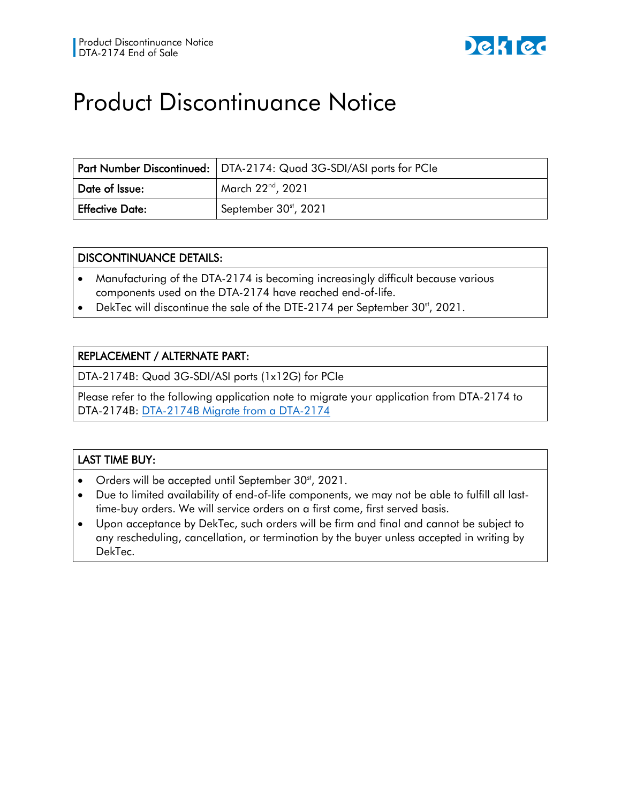

## Product Discontinuance Notice

|                        | <b>Part Number Discontinued:</b> DTA-2174: Quad 3G-SDI/ASI ports for PCIe |
|------------------------|---------------------------------------------------------------------------|
| Date of Issue:         | March 22 <sup>nd</sup> , 2021                                             |
| <b>Effective Date:</b> | September 30 <sup>st</sup> , 2021                                         |

## DISCONTINUANCE DETAILS:

- Manufacturing of the DTA-2174 is becoming increasingly difficult because various components used on the DTA-2174 have reached end-of-life.
- DekTec will discontinue the sale of the DTE-2174 per September 30<sup>st</sup>, 2021.

## REPLACEMENT / ALTERNATE PART:

DTA-2174B: Quad 3G-SDI/ASI ports (1x12G) for PCIe

Please refer to the following application note to migrate your application from DTA-2174 to DTA-2174B: [DTA-2174B Migrate from a DTA-2174](https://www.dektec.com/products/PCIe/DTA-2174B/downloads/DT-AN-2174B-2.pdf)

## LAST TIME BUY:

- Orders will be accepted until September  $30<sup>st</sup>$ , 2021.
- Due to limited availability of end-of-life components, we may not be able to fulfill all lasttime-buy orders. We will service orders on a first come, first served basis.
- Upon acceptance by DekTec, such orders will be firm and final and cannot be subject to any rescheduling, cancellation, or termination by the buyer unless accepted in writing by DekTec.